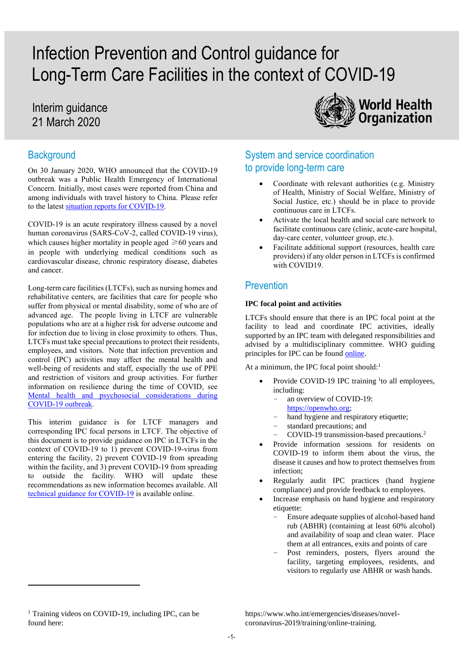# Infection Prevention and Control guidance for Long-Term Care Facilities in the context of COVID-19

# Interim guidance 21 March 2020

# **Background**

On 30 January 2020, WHO announced that the COVID-19 outbreak was a Public Health Emergency of International Concern. Initially, most cases were reported from China and among individuals with travel history to China. Please refer to the lates[t situation reports for](https://www.who.int/emergencies/diseases/novel-coronavirus-2019/situation-reports) COVID-19.

COVID-19 is an acute respiratory illness caused by a novel human coronavirus (SARS-CoV-2, called COVID-19 virus), which causes higher mortality in people aged  $\geq 60$  years and in people with underlying medical conditions such as cardiovascular disease, chronic respiratory disease, diabetes and cancer.

Long-term care facilities (LTCFs), such as nursing homes and rehabilitative centers, are facilities that care for people who suffer from physical or mental disability, some of who are of advanced age. The people living in LTCF are vulnerable populations who are at a higher risk for adverse outcome and for infection due to living in close proximity to others. Thus, LTCFs must take special precautions to protect their residents, employees, and visitors. Note that infection prevention and control (IPC) activities may affect the mental health and well-being of residents and staff, especially the use of PPE and restriction of visitors and group activities. For further information on resilience during the time of COVID, see [Mental health and psychosocial considerations during](https://www.who.int/docs/default-source/coronaviruse/mental-health-considerations.pdf)  [COVID-19 outbreak.](https://www.who.int/docs/default-source/coronaviruse/mental-health-considerations.pdf)

This interim guidance is for LTCF managers and corresponding IPC focal persons in LTCF. The objective of this document is to provide guidance on IPC in LTCFs in the context of COVID-19 to 1) prevent COVID-19-virus from entering the facility, 2) prevent COVID-19 from spreading within the facility, and 3) prevent COVID-19 from spreading to outside the facility. WHO will update these recommendations as new information becomes available. All [technical guidance for COVID-19](https://www.who.int/emergencies/diseases/novel-coronavirus-2019/technical-guidance) is available online.



# System and service coordination to provide long-term care

- Coordinate with relevant authorities (e.g. Ministry of Health, Ministry of Social Welfare, Ministry of Social Justice, etc.) should be in place to provide continuous care in LTCFs.
- Activate the local health and social care network to facilitate continuous care (clinic, acute-care hospital, day-care center, volunteer group, etc.).
- Facilitate additional support (resources, health care providers) if any older person in LTCFs is confirmed with COVID19.

# **Prevention**

#### **IPC focal point and activities**

LTCFs should ensure that there is an IPC focal point at the facility to lead and coordinate IPC activities, ideally supported by an IPC team with delegated responsibilities and advised by a multidisciplinary committee. WHO guiding principles for IPC can be foun[d online.](https://www.who.int/gpsc/ipc-components/en/)

At a minimum, the IPC focal point should: $1$ 

- Provide COVID-19 IPC training  $\frac{1}{1}$  to all employees, including:
	- an overview of COVID-19:
	- [https://openwho.org;](https://openwho.org/)
	- hand hygiene and respiratory etiquette;
	- standard precautions; and
	- COVID-19 transmission-based precautions.<sup>2</sup>
- Provide information sessions for residents on COVID-19 to inform them about the virus, the disease it causes and how to protect themselves from infection;
- Regularly audit IPC practices (hand hygiene compliance) and provide feedback to employees.
- Increase emphasis on hand hygiene and respiratory etiquette:
	- Ensure adequate supplies of alcohol-based hand rub (ABHR) (containing at least 60% alcohol) and availability of soap and clean water. Place them at all entrances, exits and points of care
	- Post reminders, posters, flyers around the facility, targeting employees, residents, and visitors to regularly use ABHR or wash hands.

 $\overline{\phantom{a}}$ 

https://www.who.int/emergencies/diseases/novelcoronavirus-2019/training/online-training.

<sup>&</sup>lt;sup>1</sup> Training videos on COVID-19, including IPC, can be found here: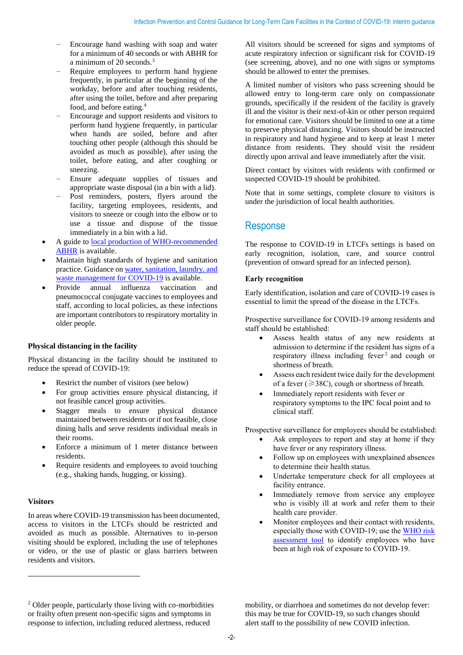- Encourage hand washing with soap and water for a minimum of 40 seconds or with ABHR for a minimum of 20 seconds.<sup>3</sup>
- Require employees to perform hand hygiene frequently, in particular at the beginning of the workday, before and after touching residents, after using the toilet, before and after preparing food, and before eating.<sup>4</sup>
- Encourage and support residents and visitors to perform hand hygiene frequently, in particular when hands are soiled, before and after touching other people (although this should be avoided as much as possible), after using the toilet, before eating, and after coughing or sneezing.
- Ensure adequate supplies of tissues and appropriate waste disposal (in a bin with a lid).
- Post reminders, posters, flyers around the facility, targeting employees, residents, and visitors to sneeze or cough into the elbow or to use a tissue and dispose of the tissue immediately in a bin with a lid.
- A guide to [local production of WHO-recommended](https://www.who.int/gpsc/5may/Guide_to_Local_Production.pdf)  [ABHR](https://www.who.int/gpsc/5may/Guide_to_Local_Production.pdf) is available.
- Maintain high standards of hygiene and sanitation practice. Guidance o[n water, sanitation, laundry, and](https://www.who.int/publications-detail/water-sanitation-hygiene-and-waste-management-for-covid-19)  [waste management for COVID-19](https://www.who.int/publications-detail/water-sanitation-hygiene-and-waste-management-for-covid-19) is available.
- Provide annual influenza vaccination and pneumococcal conjugate vaccines to employees and staff, according to local policies, as these infections are important contributors to respiratory mortality in older people.

#### **Physical distancing in the facility**

Physical distancing in the facility should be instituted to reduce the spread of COVID-19:

- Restrict the number of visitors (see below)
- For group activities ensure physical distancing, if not feasible cancel group activities.
- Stagger meals to ensure physical distance maintained between residents or if not feasible, close dining halls and serve residents individual meals in their rooms.
- Enforce a minimum of 1 meter distance between residents.
- Require residents and employees to avoid touching (e.g., shaking hands, hugging, or kissing).

#### **Visitors**

**.** 

In areas where COVID-19 transmission has been documented, access to visitors in the LTCFs should be restricted and avoided as much as possible. Alternatives to in-person visiting should be explored, including the use of telephones or video, or the use of plastic or glass barriers between residents and visitors.

All visitors should be screened for signs and symptoms of acute respiratory infection or significant risk for COVID-19 (see screening, above), and no one with signs or symptoms should be allowed to enter the premises.

A limited number of visitors who pass screening should be allowed entry to long-term care only on compassionate grounds, specifically if the resident of the facility is gravely ill and the visitor is their next-of-kin or other person required for emotional care. Visitors should be limited to one at a time to preserve physical distancing. Visitors should be instructed in respiratory and hand hygiene and to keep at least 1 meter distance from residents. They should visit the resident directly upon arrival and leave immediately after the visit.

Direct contact by visitors with residents with confirmed or suspected COVID-19 should be prohibited.

Note that in some settings, complete closure to visitors is under the jurisdiction of local health authorities.

### Response

The response to COVID-19 in LTCFs settings is based on early recognition, isolation, care, and source control (prevention of onward spread for an infected person).

#### **Early recognition**

Early identification, isolation and care of COVID-19 cases is essential to limit the spread of the disease in the LTCFs.

Prospective surveillance for COVID-19 among residents and staff should be established:

- Assess health status of any new residents at admission to determine if the resident has signs of a respiratory illness including fever 2 and cough or shortness of breath.
- Assess each resident twice daily for the development of a fever ( $\geq$ 38C), cough or shortness of breath.
- Immediately report residents with fever or respiratory symptoms to the IPC focal point and to clinical staff.

Prospective surveillance for employees should be established:

- Ask employees to report and stay at home if they have fever or any respiratory illness.
- Follow up on employees with unexplained absences to determine their health status.
- Undertake temperature check for all employees at facility entrance.
- Immediately remove from service any employee who is visibly ill at work and refer them to their health care provider.
- Monitor employees and their contact with residents, especially those with COVID-19; use the [WHO risk](https://www.who.int/emergencies/diseases/novel-coronavirus-2019/technical-guidance/infection-prevention-and-control)  [assessment tool](https://www.who.int/emergencies/diseases/novel-coronavirus-2019/technical-guidance/infection-prevention-and-control) to identify employees who have been at high risk of exposure to COVID-19.

mobility, or diarrhoea and sometimes do not develop fever: this may be true for COVID-19, so such changes should alert staff to the possibility of new COVID infection.

<sup>2</sup> Older people, particularly those living with co-morbidities or frailty often present non-specific signs and symptoms in response to infection, including reduced alertness, reduced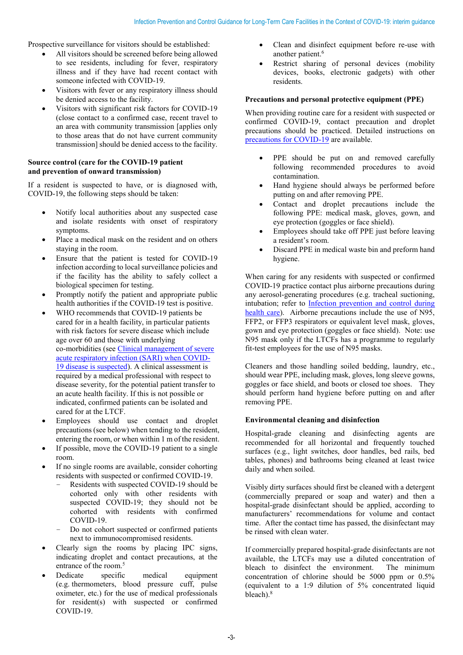Prospective surveillance for visitors should be established:

- All visitors should be screened before being allowed to see residents, including for fever, respiratory illness and if they have had recent contact with someone infected with COVID-19.
- Visitors with fever or any respiratory illness should be denied access to the facility.
- Visitors with significant risk factors for COVID-19 (close contact to a confirmed case, recent travel to an area with community transmission [applies only to those areas that do not have current community transmission] should be denied access to the facility.

#### **Source control (care for the COVID-19 patient and prevention of onward transmission)**

If a resident is suspected to have, or is diagnosed with, COVID-19, the following steps should be taken:

- Notify local authorities about any suspected case and isolate residents with onset of respiratory symptoms.
- Place a medical mask on the resident and on others staying in the room.
- Ensure that the patient is tested for COVID-19 infection according to local surveillance policies and if the facility has the ability to safely collect a biological specimen for testing.
- Promptly notify the patient and appropriate public health authorities if the COVID-19 test is positive.
- WHO recommends that COVID-19 patients be cared for in a health facility, in particular patients with risk factors for severe disease which include age over 60 and those with underlying co-morbidities (see [Clinical management of severe](https://www.who.int/publications-detail/clinical-management-of-severe-acute-respiratory-infection-when-novel-coronavirus-(ncov)-infection-is-suspected)  [acute respiratory infection \(SARI\) when COVID-](https://www.who.int/publications-detail/clinical-management-of-severe-acute-respiratory-infection-when-novel-coronavirus-(ncov)-infection-is-suspected)[19 disease is suspected\)](https://www.who.int/publications-detail/clinical-management-of-severe-acute-respiratory-infection-when-novel-coronavirus-(ncov)-infection-is-suspected). A clinical assessment is required by a medical professional with respect to disease severity, for the potential patient transfer to an acute health facility. If this is not possible or indicated, confirmed patients can be isolated and cared for at the LTCF.
- Employees should use contact and droplet precautions (see below) when tending to the resident, entering the room, or when within 1 m of the resident.
- If possible, move the COVID-19 patient to a single room.
- If no single rooms are available, consider cohorting residents with suspected or confirmed COVID-19.
	- Residents with suspected COVID-19 should be cohorted only with other residents with suspected COVID-19; they should not be cohorted with residents with confirmed COVID-19.
	- Do not cohort suspected or confirmed patients next to immunocompromised residents.
- Clearly sign the rooms by placing IPC signs, indicating droplet and contact precautions, at the entrance of the room.<sup>5</sup>
- Dedicate specific medical equipment (e.g. thermometers, blood pressure cuff, pulse oximeter, etc.) for the use of medical professionals for resident(s) with suspected or confirmed COVID-19.
- Clean and disinfect equipment before re-use with another patient.<sup>6</sup>
- Restrict sharing of personal devices (mobility devices, books, electronic gadgets) with other residents.

#### **Precautions and personal protective equipment (PPE)**

When providing routine care for a resident with suspected or confirmed COVID-19, contact precaution and droplet precautions should be practiced. Detailed instructions on [precautions for COVID-19](https://www.who.int/publications-detail/infection-prevention-and-control-during-health-care-when-novel-coronavirus-(ncov)-infection-is-suspected-20200125) are available.

- PPE should be put on and removed carefully following recommended procedures to avoid contamination.
- Hand hygiene should always be performed before putting on and after removing PPE.
- Contact and droplet precautions include the following PPE: medical mask, gloves, gown, and eye protection (goggles or face shield).
- Employees should take off PPE just before leaving a resident's room.
- Discard PPE in medical waste bin and preform hand hygiene.

When caring for any residents with suspected or confirmed COVID-19 practice contact plus airborne precautions during any aerosol-generating procedures (e.g. tracheal suctioning, intubation; refer to [Infection prevention and control during](https://www.who.int/publications-detail/infection-prevention-and-control-during-health-care-when-novel-coronavirus-(ncov)-infection-is-suspected-20200125)  [health care\)](https://www.who.int/publications-detail/infection-prevention-and-control-during-health-care-when-novel-coronavirus-(ncov)-infection-is-suspected-20200125). Airborne precautions include the use of N95, FFP2, or FFP3 respirators or equivalent level mask, gloves, gown and eye protection (goggles or face shield). Note: use N95 mask only if the LTCFs has a programme to regularly fit-test employees for the use of N95 masks.

Cleaners and those handling soiled bedding, laundry, etc., should wear PPE, including mask, gloves, long sleeve gowns, goggles or face shield, and boots or closed toe shoes. They should perform hand hygiene before putting on and after removing PPE.

#### **Environmental cleaning and disinfection**

Hospital-grade cleaning and disinfecting agents are recommended for all horizontal and frequently touched surfaces (e.g., light switches, door handles, bed rails, bed tables, phones) and bathrooms being cleaned at least twice daily and when soiled.

Visibly dirty surfaces should first be cleaned with a detergent (commercially prepared or soap and water) and then a hospital-grade disinfectant should be applied, according to manufacturers' recommendations for volume and contact time. After the contact time has passed, the disinfectant may be rinsed with clean water.

If commercially prepared hospital-grade disinfectants are not available, the LTCFs may use a diluted concentration of bleach to disinfect the environment. The minimum concentration of chlorine should be 5000 ppm or 0.5% (equivalent to a 1:9 dilution of 5% concentrated liquid bleach).<sup>8</sup>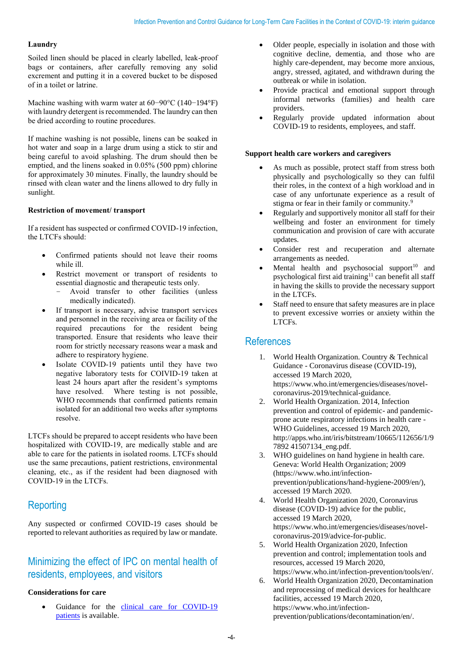#### **Laundry**

Soiled linen should be placed in clearly labelled, leak-proof bags or containers, after carefully removing any solid excrement and putting it in a covered bucket to be disposed of in a toilet or latrine.

Machine washing with warm water at 60−90°C (140−194°F) with laundry detergent is recommended. The laundry can then be dried according to routine procedures.

If machine washing is not possible, linens can be soaked in hot water and soap in a large drum using a stick to stir and being careful to avoid splashing. The drum should then be emptied, and the linens soaked in 0.05% (500 ppm) chlorine for approximately 30 minutes. Finally, the laundry should be rinsed with clean water and the linens allowed to dry fully in sunlight.

#### **Restriction of movement/ transport**

If a resident has suspected or confirmed COVID-19 infection, the LTCFs should:

- Confirmed patients should not leave their rooms while ill.
- Restrict movement or transport of residents to essential diagnostic and therapeutic tests only.
	- Avoid transfer to other facilities (unless medically indicated).
- If transport is necessary, advise transport services and personnel in the receiving area or facility of the required precautions for the resident being transported. Ensure that residents who leave their room for strictly necessary reasons wear a mask and adhere to respiratory hygiene.
- Isolate COVID-19 patients until they have two negative laboratory tests for COIVID-19 taken at least 24 hours apart after the resident's symptoms have resolved. Where testing is not possible, WHO recommends that confirmed patients remain isolated for an additional two weeks after symptoms resolve.

LTCFs should be prepared to accept residents who have been hospitalized with COVID-19, are medically stable and are able to care for the patients in isolated rooms. LTCFs should use the same precautions, patient restrictions, environmental cleaning, etc., as if the resident had been diagnosed with COVID-19 in the LTCFs.

# **Reporting**

Any suspected or confirmed COVID-19 cases should be reported to relevant authorities as required by law or mandate.

# Minimizing the effect of IPC on mental health of residents, employees, and visitors

#### **Considerations for care**

Guidance for the clinical care for COVID-19 [patients](https://www.who.int/publications-detail/clinical-management-of-severe-acute-respiratory-infection-when-novel-coronavirus-(ncov)-infection-is-suspected) is available.

- Older people, especially in isolation and those with cognitive decline, dementia, and those who are highly care-dependent, may become more anxious, angry, stressed, agitated, and withdrawn during the outbreak or while in isolation.
- Provide practical and emotional support through informal networks (families) and health care providers.
- Regularly provide updated information about COVID-19 to residents, employees, and staff.

#### **Support health care workers and caregivers**

- As much as possible, protect staff from stress both physically and psychologically so they can fulfil their roles, in the context of a high workload and in case of any unfortunate experience as a result of stigma or fear in their family or community.<sup>9</sup>
- Regularly and supportively monitor all staff for their wellbeing and foster an environment for timely communication and provision of care with accurate updates.
- Consider rest and recuperation and alternate arrangements as needed.
- Mental health and psychosocial support $10$  and psychological first aid training<sup>11</sup> can benefit all staff in having the skills to provide the necessary support in the LTCFs.
- Staff need to ensure that safety measures are in place to prevent excessive worries or anxiety within the LTCFs.

### **References**

- 1. World Health Organization. Country & Technical Guidance - Coronavirus disease (COVID-19), accessed 19 March 2020, https://www.who.int/emergencies/diseases/novelcoronavirus-2019/technical-guidance.
- 2. World Health Organization. 2014, Infection prevention and control of epidemic- and pandemicprone acute respiratory infections in health care - WHO Guidelines, accessed 19 March 2020, http://apps.who.int/iris/bitstream/10665/112656/1/9 7892 41507134\_eng.pdf.
- 3. WHO guidelines on hand hygiene in health care. Geneva: World Health Organization; 2009 (https://www.who.int/infectionprevention/publications/hand-hygiene-2009/en/), accessed 19 March 2020.
- 4. World Health Organization 2020, Coronavirus disease (COVID-19) advice for the public, accessed 19 March 2020, https://www.who.int/emergencies/diseases/novelcoronavirus-2019/advice-for-public.
- 5. World Health Organization 2020, Infection prevention and control; implementation tools and resources, accessed 19 March 2020, https://www.who.int/infection-prevention/tools/en/.
- 6. World Health Organization 2020, Decontamination and reprocessing of medical devices for healthcare facilities, accessed 19 March 2020, https://www.who.int/infectionprevention/publications/decontamination/en/.